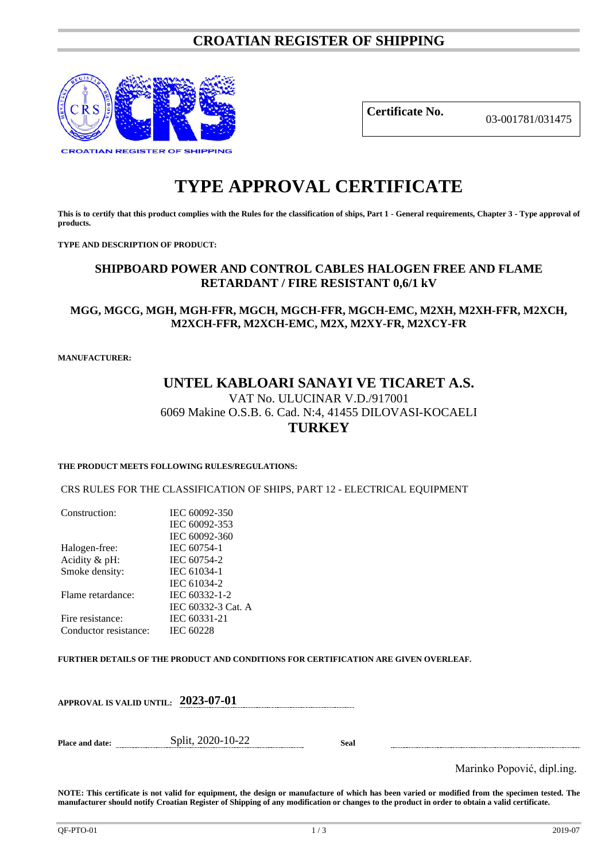## **CROATIAN REGISTER OF SHIPPING**



**Certificate No.** 03-001781/031475

# **TYPE APPROVAL CERTIFICATE**

**This is to certify that this product complies with the Rules for the classification of ships, Part 1 - General requirements, Chapter 3 - Type approval of products.**

**TYPE AND DESCRIPTION OF PRODUCT:** 

## **SHIPBOARD POWER AND CONTROL CABLES HALOGEN FREE AND FLAME RETARDANT / FIRE RESISTANT 0,6/1 kV**

### **MGG, MGCG, MGH, MGH-FFR, MGCH, MGCH-FFR, MGCH-EMC, M2XH, M2XH-FFR, M2XCH, M2XCH-FFR, M2XCH-EMC, M2X, M2XY-FR, M2XCY-FR**

**MANUFACTURER:**

## **UNTEL KABLOARI SANAYI VE TICARET A.S.** VAT No. ULUCINAR V.D./917001 6069 Makine O.S.B. 6. Cad. N:4, 41455 DILOVASI-KOCAELI **TURKEY**

## **THE PRODUCT MEETS FOLLOWING RULES/REGULATIONS:**

CRS RULES FOR THE CLASSIFICATION OF SHIPS, PART 12 - ELECTRICAL EQUIPMENT

| Construction:         | IEC 60092-350      |
|-----------------------|--------------------|
|                       | IEC 60092-353      |
|                       | IEC 60092-360      |
| Halogen-free:         | IEC 60754-1        |
| Acidity & pH:         | IEC 60754-2        |
| Smoke density:        | IEC 61034-1        |
|                       | IEC 61034-2        |
| Flame retardance:     | IEC 60332-1-2      |
|                       | IEC 60332-3 Cat. A |
| Fire resistance:      | IEC 60331-21       |
| Conductor resistance: | <b>IEC 60228</b>   |
|                       |                    |

**FURTHER DETAILS OF THE PRODUCT AND CONDITIONS FOR CERTIFICATION ARE GIVEN OVERLEAF.**

| APPROVAL IS VALID UNTIL: | 2023-07-01 |
|--------------------------|------------|
|                          |            |

**Place and date:** Split, 2020-10-22 **Seal**

Marinko Popović, dipl.ing.

**NOTE: This certificate is not valid for equipment, the design or manufacture of which has been varied or modified from the specimen tested. The manufacturer should notify Croatian Register of Shipping of any modification or changes to the product in order to obtain a valid certificate.**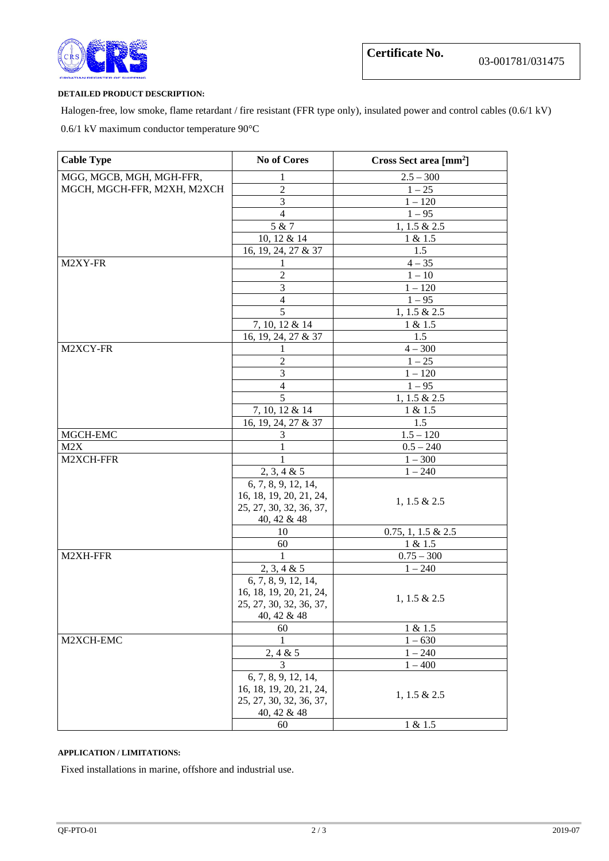

#### **DETAILED PRODUCT DESCRIPTION:**

Halogen-free, low smoke, flame retardant / fire resistant (FFR type only), insulated power and control cables (0.6/1 kV) 0.6/1 kV maximum conductor temperature 90°C

| <b>Cable Type</b>           | <b>No of Cores</b>                             | Cross Sect area [mm <sup>2</sup> ] |
|-----------------------------|------------------------------------------------|------------------------------------|
| MGG, MGCB, MGH, MGH-FFR,    | 1                                              | $2.5 - 300$                        |
| MGCH, MGCH-FFR, M2XH, M2XCH | $\overline{2}$                                 | $1 - 25$                           |
|                             | 3                                              | $1 - 120$                          |
|                             | $\overline{4}$                                 | $1 - 95$                           |
|                             | 5 & 7                                          | 1, 1.5 & 2.5                       |
|                             | 10, 12 & 14                                    | 1 & 1.5                            |
|                             | 16, 19, 24, 27 & 37                            | 1.5                                |
| M2XY-FR                     | 1                                              | $4 - 35$                           |
|                             | $\overline{2}$                                 | $1 - 10$                           |
|                             | 3                                              | $1 - 120$                          |
|                             | $\overline{4}$                                 | $1 - 95$                           |
|                             | 5                                              | 1, 1.5 & 2.5                       |
|                             | 7, 10, 12 & 14                                 | 1 & 1.5                            |
|                             | 16, 19, 24, 27 & 37                            | 1.5                                |
| M2XCY-FR                    | 1<br>$\overline{2}$                            | $4 - 300$                          |
|                             | 3                                              | $1 - 25$<br>$1 - 120$              |
|                             | $\overline{4}$                                 | $1 - 95$                           |
|                             | 5                                              | 1, 1.5 & 2.5                       |
|                             | 7, 10, 12 & 14                                 | 1 & 1.5                            |
|                             | 16, 19, 24, 27 & 37                            | 1.5                                |
| MGCH-EMC                    | 3                                              | $1.5 - 120$                        |
| M2X                         | 1                                              | $0.5 - 240$                        |
| M2XCH-FFR                   | 1                                              | $1 - 300$                          |
|                             | 2, 3, 4 & 5                                    | $1 - 240$                          |
|                             | 6, 7, 8, 9, 12, 14,                            |                                    |
|                             | 16, 18, 19, 20, 21, 24,                        | $1, 1.5 \& 2.5$                    |
|                             | 25, 27, 30, 32, 36, 37,                        |                                    |
|                             | 40, 42 & 48                                    |                                    |
|                             | 10                                             | $0.75, 1, 1.5 \& 2.5$              |
|                             | 60                                             | 1 & 1.5                            |
| M2XH-FFR                    | 1                                              | $0.75 - 300$                       |
|                             | 2, 3, 4 & 5                                    | $1 - 240$                          |
|                             | 6, 7, 8, 9, 12, 14,<br>16, 18, 19, 20, 21, 24, |                                    |
|                             | 25, 27, 30, 32, 36, 37,                        | $1, 1.5 \& 2.5$                    |
|                             | 40, 42 & 48                                    |                                    |
|                             | 60                                             | 1 & 1.5                            |
| M2XCH-EMC                   | 1                                              | $1 - 630$                          |
|                             | 2, 4 & 5                                       | $1 - 240$                          |
|                             | 3                                              | $1 - 400$                          |
|                             | 6, 7, 8, 9, 12, 14,                            |                                    |
|                             | 16, 18, 19, 20, 21, 24,                        | $1, 1.5 \& 2.5$                    |
|                             | 25, 27, 30, 32, 36, 37,                        |                                    |
|                             | 40, 42 & 48                                    |                                    |
|                             | 60                                             | 1 & 1.5                            |

#### **APPLICATION / LIMITATIONS:**

Fixed installations in marine, offshore and industrial use.